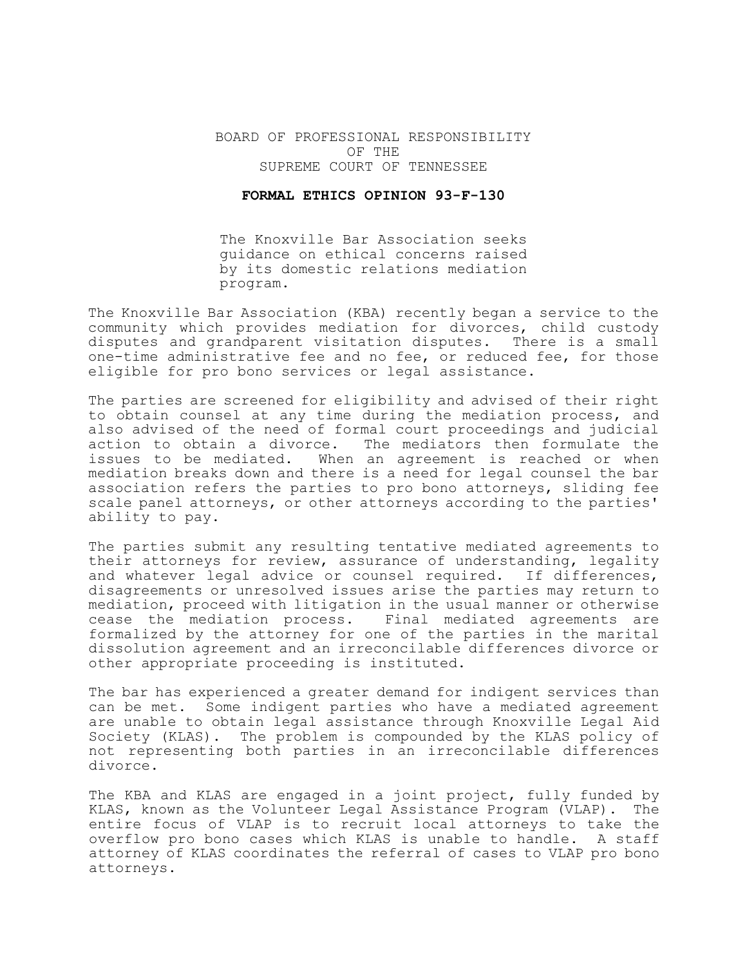## BOARD OF PROFESSIONAL RESPONSIBILITY OF THE SUPREME COURT OF TENNESSEE

## **FORMAL ETHICS OPINION 93-F-130**

The Knoxville Bar Association seeks guidance on ethical concerns raised by its domestic relations mediation program.

The Knoxville Bar Association (KBA) recently began a service to the community which provides mediation for divorces, child custody disputes and grandparent visitation disputes. There is a small one-time administrative fee and no fee, or reduced fee, for those eligible for pro bono services or legal assistance.

The parties are screened for eligibility and advised of their right to obtain counsel at any time during the mediation process, and also advised of the need of formal court proceedings and judicial action to obtain a divorce. The mediators then formulate the issues to be mediated. When an agreement is reached or when mediation breaks down and there is a need for legal counsel the bar association refers the parties to pro bono attorneys, sliding fee scale panel attorneys, or other attorneys according to the parties' ability to pay.

The parties submit any resulting tentative mediated agreements to their attorneys for review, assurance of understanding, legality and whatever legal advice or counsel required. If differences, disagreements or unresolved issues arise the parties may return to mediation, proceed with litigation in the usual manner or otherwise cease the mediation process. Final mediated agreements are formalized by the attorney for one of the parties in the marital dissolution agreement and an irreconcilable differences divorce or other appropriate proceeding is instituted.

The bar has experienced a greater demand for indigent services than can be met. Some indigent parties who have a mediated agreement are unable to obtain legal assistance through Knoxville Legal Aid Society (KLAS). The problem is compounded by the KLAS policy of not representing both parties in an irreconcilable differences divorce.

The KBA and KLAS are engaged in a joint project, fully funded by KLAS, known as the Volunteer Legal Assistance Program (VLAP). The entire focus of VLAP is to recruit local attorneys to take the overflow pro bono cases which KLAS is unable to handle. A staff attorney of KLAS coordinates the referral of cases to VLAP pro bono attorneys.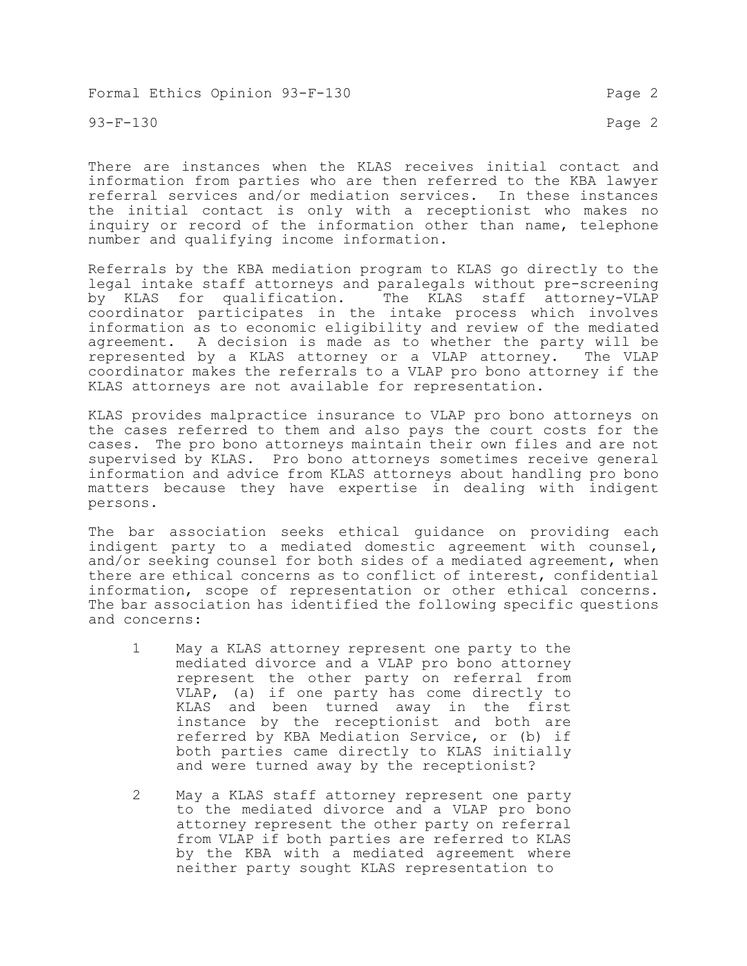Formal Ethics Opinion 93-F-130 Page 2

93-F-130 Page 2

There are instances when the KLAS receives initial contact and information from parties who are then referred to the KBA lawyer referral services and/or mediation services. In these instances the initial contact is only with a receptionist who makes no inquiry or record of the information other than name, telephone number and qualifying income information.

Referrals by the KBA mediation program to KLAS go directly to the legal intake staff attorneys and paralegals without pre-screening by KLAS for qualification. The KLAS staff attorney-VLAP coordinator participates in the intake process which involves information as to economic eligibility and review of the mediated agreement. A decision is made as to whether the party will be represented by a KLAS attorney or a VLAP attorney. The VLAP coordinator makes the referrals to a VLAP pro bono attorney if the KLAS attorneys are not available for representation.

KLAS provides malpractice insurance to VLAP pro bono attorneys on the cases referred to them and also pays the court costs for the cases. The pro bono attorneys maintain their own files and are not supervised by KLAS. Pro bono attorneys sometimes receive general information and advice from KLAS attorneys about handling pro bono matters because they have expertise in dealing with indigent persons.

The bar association seeks ethical guidance on providing each indigent party to a mediated domestic agreement with counsel, and/or seeking counsel for both sides of a mediated agreement, when there are ethical concerns as to conflict of interest, confidential information, scope of representation or other ethical concerns. The bar association has identified the following specific questions and concerns:

- 1 May a KLAS attorney represent one party to the mediated divorce and a VLAP pro bono attorney represent the other party on referral from VLAP, (a) if one party has come directly to KLAS and been turned away in the first instance by the receptionist and both are referred by KBA Mediation Service, or (b) if both parties came directly to KLAS initially and were turned away by the receptionist?
- 2 May a KLAS staff attorney represent one party to the mediated divorce and a VLAP pro bono attorney represent the other party on referral from VLAP if both parties are referred to KLAS by the KBA with a mediated agreement where neither party sought KLAS representation to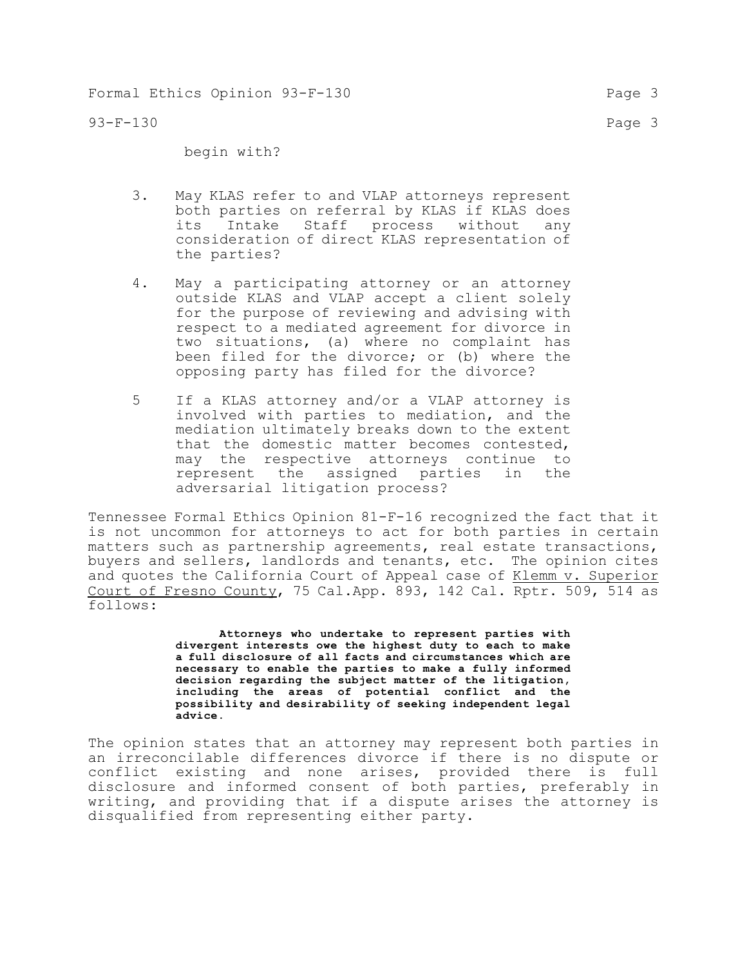93-F-130 Page 3

begin with?

- 3. May KLAS refer to and VLAP attorneys represent both parties on referral by KLAS if KLAS does its Intake Staff process without any consideration of direct KLAS representation of the parties?
- 4. May a participating attorney or an attorney outside KLAS and VLAP accept a client solely for the purpose of reviewing and advising with respect to a mediated agreement for divorce in two situations, (a) where no complaint has been filed for the divorce; or (b) where the opposing party has filed for the divorce?
- 5 If a KLAS attorney and/or a VLAP attorney is involved with parties to mediation, and the mediation ultimately breaks down to the extent that the domestic matter becomes contested, may the respective attorneys continue to represent the assigned parties in the adversarial litigation process?

Tennessee Formal Ethics Opinion 81-F-16 recognized the fact that it is not uncommon for attorneys to act for both parties in certain matters such as partnership agreements, real estate transactions, buyers and sellers, landlords and tenants, etc. The opinion cites and quotes the California Court of Appeal case of Klemm v. Superior Court of Fresno County, 75 Cal.App. 893, 142 Cal. Rptr. 509, 514 as follows:

> **Attorneys who undertake to represent parties with divergent interests owe the highest duty to each to make a full disclosure of all facts and circumstances which are necessary to enable the parties to make a fully informed decision regarding the subject matter of the litigation, including the areas of potential conflict and the possibility and desirability of seeking independent legal advice.**

The opinion states that an attorney may represent both parties in an irreconcilable differences divorce if there is no dispute or conflict existing and none arises, provided there is full disclosure and informed consent of both parties, preferably in writing, and providing that if a dispute arises the attorney is disqualified from representing either party.